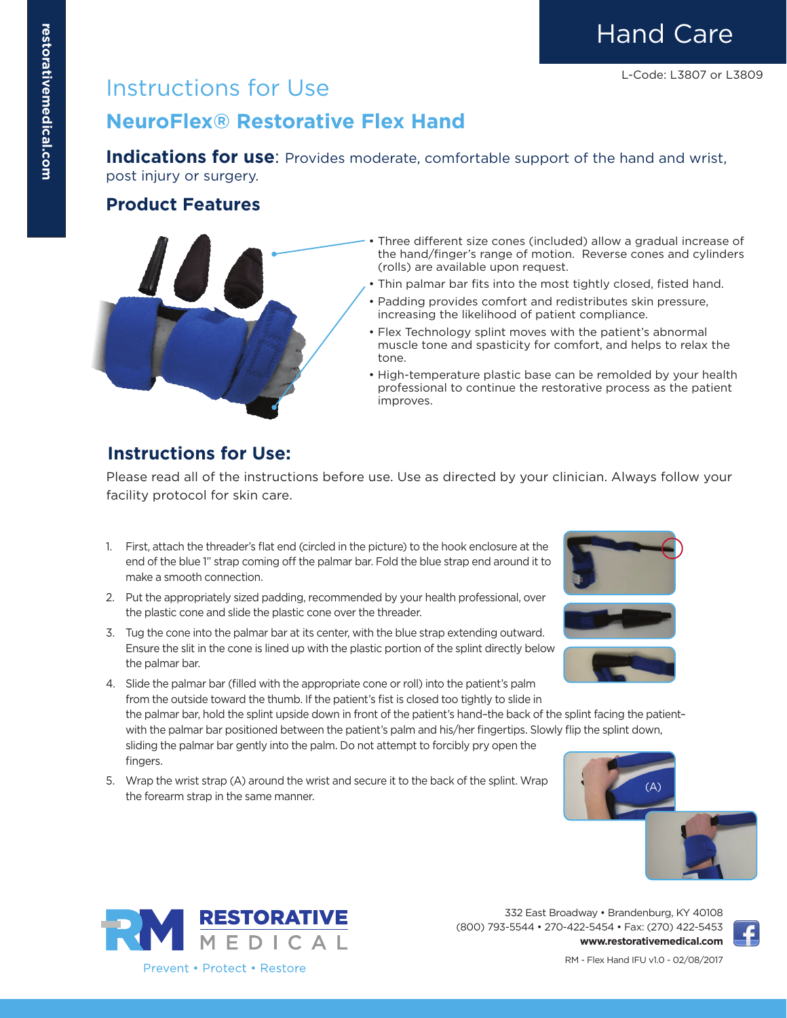Hand Care

### Instructions for Use

### **NeuroFlex® Restorative Flex Hand**

**Indications for use**: Provides moderate, comfortable support of the hand and wrist, post injury or surgery.

#### **Product Features**



- Three different size cones (included) allow a gradual increase of the hand/finger's range of motion. Reverse cones and cylinders (rolls) are available upon request.
- Thin palmar bar fits into the most tightly closed, fisted hand.
- Padding provides comfort and redistributes skin pressure, increasing the likelihood of patient compliance.
- Flex Technology splint moves with the patient's abnormal muscle tone and spasticity for comfort, and helps to relax the tone.
- High-temperature plastic base can be remolded by your health professional to continue the restorative process as the patient improves.

### **Instructions for Use:**

Please read all of the instructions before use. Use as directed by your clinician. Always follow your facility protocol for skin care.

- 1. First, attach the threader's flat end (circled in the picture) to the hook enclosure at the end of the blue 1" strap coming off the palmar bar. Fold the blue strap end around it to make a smooth connection.
- 2. Put the appropriately sized padding, recommended by your health professional, over the plastic cone and slide the plastic cone over the threader.
- 3. Tug the cone into the palmar bar at its center, with the blue strap extending outward. Ensure the slit in the cone is lined up with the plastic portion of the splint directly below the palmar bar.



sliding the palmar bar gently into the palm. Do not attempt to forcibly pry open the fingers.

5. Wrap the wrist strap (A) around the wrist and secure it to the back of the splint. Wrap the forearm strap in the same manner.









332 East Broadway • Brandenburg, KY 40108 (800) 793-5544 • 270-422-5454 • Fax: (270) 422-5453 **www.restorativemedical.com**



RM - Flex Hand IFU v1.0 - 02/08/2017